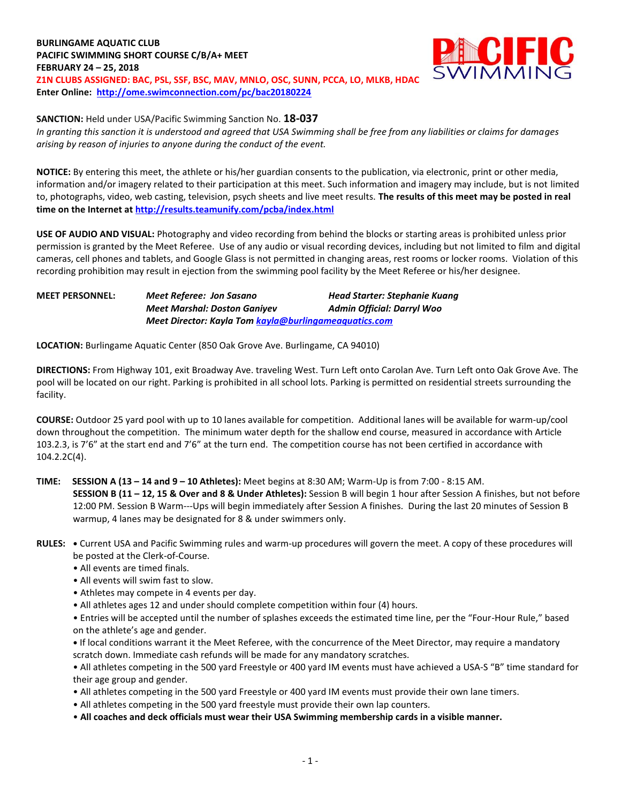**BURLINGAME AQUATIC CLUB PACIFIC SWIMMING SHORT COURSE C/B/A+ MEET FEBRUARY 24 – 25, 2018 Z1N CLUBS ASSIGNED: BAC, PSL, SSF, BSC, MAV, MNLO, OSC, SUNN, PCCA, LO, MLKB, HDAC Enter Online: <http://ome.swimconnection.com/pc/bac20180224>**



**SANCTION:** Held under USA/Pacific Swimming Sanction No. **18-037**

*In granting this sanction it is understood and agreed that USA Swimming shall be free from any liabilities or claims for damages arising by reason of injuries to anyone during the conduct of the event.*

**NOTICE:** By entering this meet, the athlete or his/her guardian consents to the publication, via electronic, print or other media, information and/or imagery related to their participation at this meet. Such information and imagery may include, but is not limited to, photographs, video, web casting, television, psych sheets and live meet results. **The results of this meet may be posted in real time on the Internet a[t http://results.teamunify.com/pcba/index.html](http://results.teamunify.com/pcba/index.html)**

**USE OF AUDIO AND VISUAL:** Photography and video recording from behind the blocks or starting areas is prohibited unless prior permission is granted by the Meet Referee. Use of any audio or visual recording devices, including but not limited to film and digital cameras, cell phones and tablets, and Google Glass is not permitted in changing areas, rest rooms or locker rooms. Violation of this recording prohibition may result in ejection from the swimming pool facility by the Meet Referee or his/her designee.

**MEET PERSONNEL:** *Meet Referee: Jon Sasano Head Starter: Stephanie Kuang Meet Marshal: Doston Ganiyev Admin Official: Darryl Woo Meet Director: Kayla Tom [kayla@burlingameaquatics.com](mailto:kayla@burlingameaquatics.com)*

**LOCATION:** Burlingame Aquatic Center (850 Oak Grove Ave. Burlingame, CA 94010)

**DIRECTIONS:** From Highway 101, exit Broadway Ave. traveling West. Turn Left onto Carolan Ave. Turn Left onto Oak Grove Ave. The pool will be located on our right. Parking is prohibited in all school lots. Parking is permitted on residential streets surrounding the facility.

**COURSE:** Outdoor 25 yard pool with up to 10 lanes available for competition. Additional lanes will be available for warm-up/cool down throughout the competition. The minimum water depth for the shallow end course, measured in accordance with Article 103.2.3, is 7'6" at the start end and 7'6" at the turn end. The competition course has not been certified in accordance with 104.2.2C(4).

## **TIME: SESSION A (13 – 14 and 9 – 10 Athletes):** Meet begins at 8:30 AM; Warm-Up is from 7:00 - 8:15 AM. **SESSION B (11 – 12, 15 & Over and 8 & Under Athletes):** Session B will begin 1 hour after Session A finishes, but not before 12:00 PM. Session B Warm--‐Ups will begin immediately after Session A finishes. During the last 20 minutes of Session B warmup, 4 lanes may be designated for 8 & under swimmers only.

- **RULES: •** Current USA and Pacific Swimming rules and warm-up procedures will govern the meet. A copy of these procedures will be posted at the Clerk-of-Course.
	- All events are timed finals.
	- All events will swim fast to slow.
	- Athletes may compete in 4 events per day.
	- All athletes ages 12 and under should complete competition within four (4) hours.

• Entries will be accepted until the number of splashes exceeds the estimated time line, per the "Four-Hour Rule," based on the athlete's age and gender.

**•** If local conditions warrant it the Meet Referee, with the concurrence of the Meet Director, may require a mandatory scratch down. Immediate cash refunds will be made for any mandatory scratches.

• All athletes competing in the 500 yard Freestyle or 400 yard IM events must have achieved a USA-S "B" time standard for their age group and gender.

- All athletes competing in the 500 yard Freestyle or 400 yard IM events must provide their own lane timers.
- All athletes competing in the 500 yard freestyle must provide their own lap counters.
- **All coaches and deck officials must wear their USA Swimming membership cards in a visible manner.**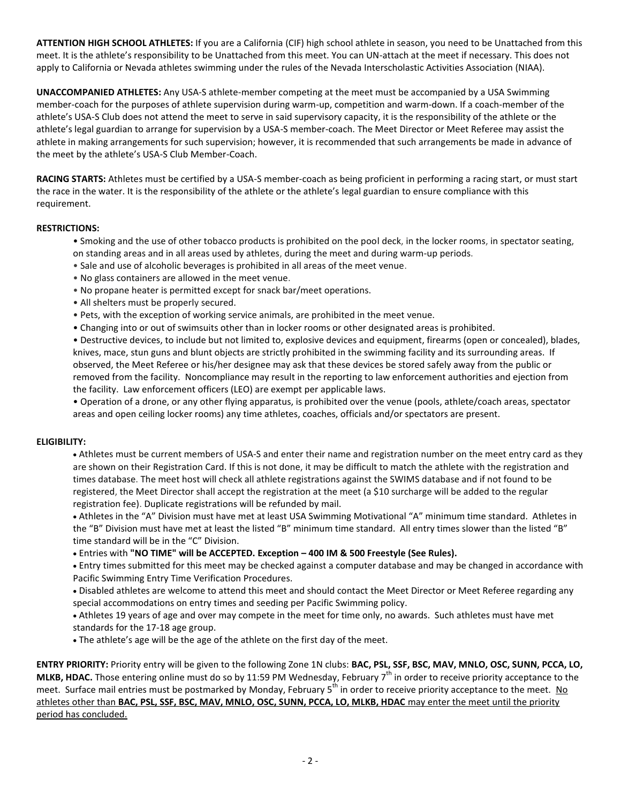**ATTENTION HIGH SCHOOL ATHLETES:** If you are a California (CIF) high school athlete in season, you need to be Unattached from this meet. It is the athlete's responsibility to be Unattached from this meet. You can UN-attach at the meet if necessary. This does not apply to California or Nevada athletes swimming under the rules of the Nevada Interscholastic Activities Association (NIAA).

**UNACCOMPANIED ATHLETES:** Any USA-S athlete-member competing at the meet must be accompanied by a USA Swimming member-coach for the purposes of athlete supervision during warm-up, competition and warm-down. If a coach-member of the athlete's USA-S Club does not attend the meet to serve in said supervisory capacity, it is the responsibility of the athlete or the athlete's legal guardian to arrange for supervision by a USA-S member-coach. The Meet Director or Meet Referee may assist the athlete in making arrangements for such supervision; however, it is recommended that such arrangements be made in advance of the meet by the athlete's USA-S Club Member-Coach.

**RACING STARTS:** Athletes must be certified by a USA-S member-coach as being proficient in performing a racing start, or must start the race in the water. It is the responsibility of the athlete or the athlete's legal guardian to ensure compliance with this requirement.

### **RESTRICTIONS:**

- Smoking and the use of other tobacco products is prohibited on the pool deck, in the locker rooms, in spectator seating, on standing areas and in all areas used by athletes, during the meet and during warm-up periods.
- Sale and use of alcoholic beverages is prohibited in all areas of the meet venue.
- No glass containers are allowed in the meet venue.
- No propane heater is permitted except for snack bar/meet operations.
- All shelters must be properly secured.
- Pets, with the exception of working service animals, are prohibited in the meet venue.
- Changing into or out of swimsuits other than in locker rooms or other designated areas is prohibited.

• Destructive devices, to include but not limited to, explosive devices and equipment, firearms (open or concealed), blades, knives, mace, stun guns and blunt objects are strictly prohibited in the swimming facility and its surrounding areas. If observed, the Meet Referee or his/her designee may ask that these devices be stored safely away from the public or removed from the facility. Noncompliance may result in the reporting to law enforcement authorities and ejection from the facility. Law enforcement officers (LEO) are exempt per applicable laws.

• Operation of a drone, or any other flying apparatus, is prohibited over the venue (pools, athlete/coach areas, spectator areas and open ceiling locker rooms) any time athletes, coaches, officials and/or spectators are present.

#### **ELIGIBILITY:**

 Athletes must be current members of USA-S and enter their name and registration number on the meet entry card as they are shown on their Registration Card. If this is not done, it may be difficult to match the athlete with the registration and times database. The meet host will check all athlete registrations against the SWIMS database and if not found to be registered, the Meet Director shall accept the registration at the meet (a \$10 surcharge will be added to the regular registration fee). Duplicate registrations will be refunded by mail.

 Athletes in the "A" Division must have met at least USA Swimming Motivational "A" minimum time standard. Athletes in the "B" Division must have met at least the listed "B" minimum time standard. All entry times slower than the listed "B" time standard will be in the "C" Division.

Entries with **"NO TIME" will be ACCEPTED. Exception – 400 IM & 500 Freestyle (See Rules).**

 Entry times submitted for this meet may be checked against a computer database and may be changed in accordance with Pacific Swimming Entry Time Verification Procedures.

 Disabled athletes are welcome to attend this meet and should contact the Meet Director or Meet Referee regarding any special accommodations on entry times and seeding per Pacific Swimming policy.

 Athletes 19 years of age and over may compete in the meet for time only, no awards. Such athletes must have met standards for the 17-18 age group.

The athlete's age will be the age of the athlete on the first day of the meet.

**ENTRY PRIORITY:** Priority entry will be given to the following Zone 1N clubs: **BAC, PSL, SSF, BSC, MAV, MNLO, OSC, SUNN, PCCA, LO, MLKB, HDAC.** Those entering online must do so by 11:59 PM Wednesday, February 7<sup>th</sup> in order to receive priority acceptance to the meet. Surface mail entries must be postmarked by Monday, February 5<sup>th</sup> in order to receive priority acceptance to the meet. No athletes other than **BAC, PSL, SSF, BSC, MAV, MNLO, OSC, SUNN, PCCA, LO, MLKB, HDAC** may enter the meet until the priority period has concluded.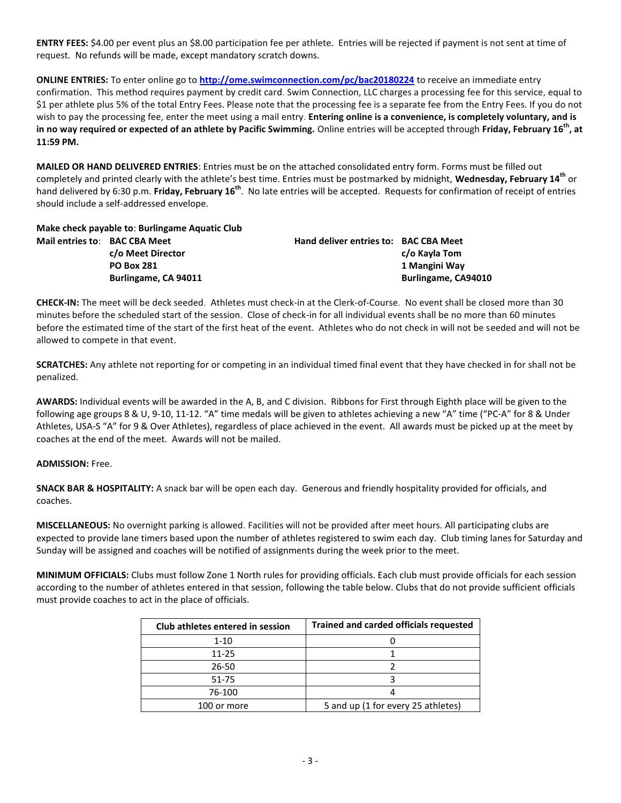**ENTRY FEES:** \$4.00 per event plus an \$8.00 participation fee per athlete. Entries will be rejected if payment is not sent at time of request. No refunds will be made, except mandatory scratch downs.

**ONLINE ENTRIES:** To enter online go to **<http://ome.swimconnection.com/pc/bac20180224>** to receive an immediate entry confirmation. This method requires payment by credit card. Swim Connection, LLC charges a processing fee for this service, equal to \$1 per athlete plus 5% of the total Entry Fees. Please note that the processing fee is a separate fee from the Entry Fees. If you do not wish to pay the processing fee, enter the meet using a mail entry. **Entering online is a convenience, is completely voluntary, and is in no way required or expected of an athlete by Pacific Swimming.** Online entries will be accepted through **Friday, February 16th , at 11:59 PM.**

**MAILED OR HAND DELIVERED ENTRIES**: Entries must be on the attached consolidated entry form. Forms must be filled out completely and printed clearly with the athlete's best time. Entries must be postmarked by midnight, **Wednesday, February 14th** or hand delivered by 6:30 p.m. **Friday, February 16th**. No late entries will be accepted. Requests for confirmation of receipt of entries should include a self-addressed envelope.

**Make check payable to**: **Burlingame Aquatic Club Mail entries to**: **BAC CBA Meet Hand deliver entries to: BAC CBA Meet**

**c/o Meet Director c/o Kayla Tom PO Box 281 1 Mangini Way Burlingame, CA 94011 Burlingame, CA94010**

**CHECK-IN:** The meet will be deck seeded. Athletes must check-in at the Clerk-of-Course. No event shall be closed more than 30 minutes before the scheduled start of the session. Close of check-in for all individual events shall be no more than 60 minutes before the estimated time of the start of the first heat of the event. Athletes who do not check in will not be seeded and will not be allowed to compete in that event.

**SCRATCHES:** Any athlete not reporting for or competing in an individual timed final event that they have checked in for shall not be penalized.

**AWARDS:** Individual events will be awarded in the A, B, and C division. Ribbons for First through Eighth place will be given to the following age groups 8 & U, 9-10, 11-12. "A" time medals will be given to athletes achieving a new "A" time ("PC-A" for 8 & Under Athletes, USA-S "A" for 9 & Over Athletes), regardless of place achieved in the event. All awards must be picked up at the meet by coaches at the end of the meet. Awards will not be mailed.

# **ADMISSION:** Free.

**SNACK BAR & HOSPITALITY:** A snack bar will be open each day. Generous and friendly hospitality provided for officials, and coaches.

**MISCELLANEOUS:** No overnight parking is allowed. Facilities will not be provided after meet hours. All participating clubs are expected to provide lane timers based upon the number of athletes registered to swim each day. Club timing lanes for Saturday and Sunday will be assigned and coaches will be notified of assignments during the week prior to the meet.

**MINIMUM OFFICIALS:** Clubs must follow Zone 1 North rules for providing officials. Each club must provide officials for each session according to the number of athletes entered in that session, following the table below. Clubs that do not provide sufficient officials must provide coaches to act in the place of officials.

| Club athletes entered in session | <b>Trained and carded officials requested</b> |
|----------------------------------|-----------------------------------------------|
| $1 - 10$                         |                                               |
| $11 - 25$                        |                                               |
| 26-50                            |                                               |
| 51-75                            |                                               |
| 76-100                           |                                               |
| 100 or more                      | 5 and up (1 for every 25 athletes)            |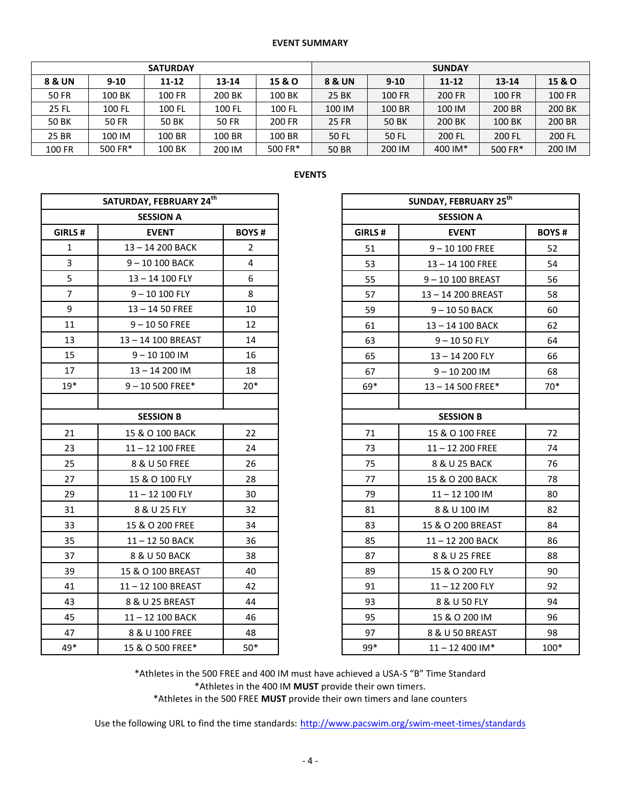#### **EVENT SUMMARY**

|        |              | <b>SUNDAY</b> |        |         |              |               |           |           |        |
|--------|--------------|---------------|--------|---------|--------------|---------------|-----------|-----------|--------|
| 8 & UN | $9 - 10$     | $11 - 12$     | 13-14  | 15 & O  | 8 & UN       | $9-10$        | $11 - 12$ | $13 - 14$ | 15 & O |
| 50 FR  | 100 BK       | <b>100 FR</b> | 200 BK | 100 BK  | 25 BK        | <b>100 FR</b> | 200 FR    | 100 FR    | 100 FR |
| 25 FL  | 100 FL       | 100 FL        | 100 FL | 100 FL  | 100 IM       | 100 BR        | 100 IM    | 200 BR    | 200 BK |
| 50 BK  | <b>50 FR</b> | 50 BK         | 50 FR  | 200 FR  | <b>25 FR</b> | 50 BK         | 200 BK    | 100 BK    | 200 BR |
| 25 BR  | 100 IM       | 100 BR        | 100 BR | 100 BR  | 50 FL        | 50 FL         | 200 FL    | 200 FL    | 200 FL |
| 100 FR | 500 FR*      | 100 BK        | 200 IM | 500 FR* | <b>50 BR</b> | 200 IM        | 400 IM*   | 500 FR*   | 200 IM |

| SATURDAY, FEBRUARY 24 <sup>th</sup> |                    |                |  |
|-------------------------------------|--------------------|----------------|--|
|                                     | <b>SESSION A</b>   |                |  |
| GIRLS#                              | <b>EVENT</b>       | <b>BOYS#</b>   |  |
| $\mathbf{1}$                        | 13-14 200 BACK     | $\overline{2}$ |  |
| $\overline{3}$                      | 9-10 100 BACK      | $\overline{4}$ |  |
| 5                                   | 13-14 100 FLY      | 6              |  |
| $\overline{7}$                      | $9 - 10100$ FLY    | 8              |  |
| 9                                   | $13 - 1450$ FREE   | 10             |  |
| 11                                  | $9 - 1050$ FREE    | 12             |  |
| 13                                  | 13-14 100 BREAST   | 14             |  |
| 15                                  | $9 - 10100$ IM     | 16             |  |
| 17                                  | 13-14 200 IM       | 18             |  |
| $19*$                               | $9 - 10500$ FREE*  | $20*$          |  |
|                                     |                    |                |  |
|                                     | <b>SESSION B</b>   |                |  |
| 21                                  | 15 & O 100 BACK    | 22             |  |
| 23                                  | $11 - 12$ 100 FREE | 24             |  |
| 25                                  | 8 & U 50 FREE      | 26             |  |
| 27                                  | 15 & O 100 FLY     | 28             |  |
| 29                                  | 11-12 100 FLY      | 30             |  |
| 31                                  | 8 & U 25 FLY       | 32             |  |
| 33                                  | 15 & O 200 FREE    | 34             |  |
| 35                                  | 11-12 50 BACK      | 36             |  |
| 37                                  | 8 & U 50 BACK      | 38             |  |
| 39                                  | 15 & O 100 BREAST  | 40             |  |
| 41                                  | 11-12 100 BREAST   | 42             |  |
| 43                                  | 8 & U 25 BREAST    | 44             |  |
| 45                                  | 11-12 100 BACK     | 46             |  |
| 47                                  | 8 & U 100 FREE     | 48             |  |

| ┍<br>٠ |  |
|--------|--|
|--------|--|

|                  | SATURDAY, FEBRUARY 24th |                |  |
|------------------|-------------------------|----------------|--|
|                  | <b>SESSION A</b>        |                |  |
| RLS #            | <b>EVENT</b>            | <b>BOYS#</b>   |  |
| 1                | 13-14 200 BACK          | $\overline{2}$ |  |
| $\frac{3}{5}$    | 9-10 100 BACK           | 4              |  |
|                  | 13-14 100 FLY           | 6              |  |
| $\overline{7}$   | $9 - 10100$ FLY         | 8              |  |
| 9                | $13 - 1450$ FREE        | 10             |  |
| $\overline{1}$   | $9 - 1050$ FREE         | 12             |  |
| L3               | 13-14 100 BREAST        | 14             |  |
| L5               | $9 - 10100$ IM          | 16             |  |
| 17               | 13-14 200 IM            | 18             |  |
| 9*               | $9 - 10500$ FREE*       | $20*$          |  |
|                  |                         |                |  |
| <b>SESSION B</b> |                         |                |  |
| $^{21}$          | 15 & O 100 BACK         | 22             |  |
| $^{23}$          | $11 - 12$ 100 FREE      | 24             |  |
| $\frac{25}{2}$   | 8 & U 50 FREE           | 26             |  |
| 27               | 15 & O 100 FLY          | 28             |  |
| 29               | 11-12 100 FLY           | 30             |  |
| $^{31}$          | 8 & U 25 FLY            | 32             |  |
| 33               | 15 & O 200 FREE         | 34             |  |
| 35               | 11-12 50 BACK           | 36             |  |
| 37               | 8 & U 50 BACK           | 38             |  |
| 39               | 15 & O 100 BREAST       | 40             |  |
| $\overline{11}$  | 11-12 100 BREAST        | 42             |  |
| $\overline{13}$  | 8 & U 25 BREAST         | 44             |  |
| 15               | 11-12 100 BACK          | 46             |  |
| 17               | 8 & U 100 FREE          | 48             |  |
| 9*               | 15 & O 500 FREE*        | $50*$          |  |
|                  |                         |                |  |

\*Athletes in the 500 FREE and 400 IM must have achieved a USA-S "B" Time Standard \*Athletes in the 400 IM **MUST** provide their own timers. \*Athletes in the 500 FREE **MUST** provide their own timers and lane counters

Use the following URL to find the time standards: <http://www.pacswim.org/swim-meet-times/standards>